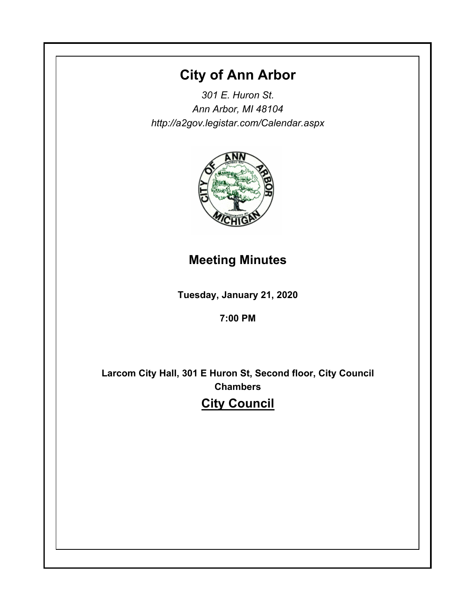# **City of Ann Arbor**

*301 E. Huron St. Ann Arbor, MI 48104 http://a2gov.legistar.com/Calendar.aspx*



# **Meeting Minutes**

**Tuesday, January 21, 2020**

# **7:00 PM**

**Larcom City Hall, 301 E Huron St, Second floor, City Council Chambers City Council**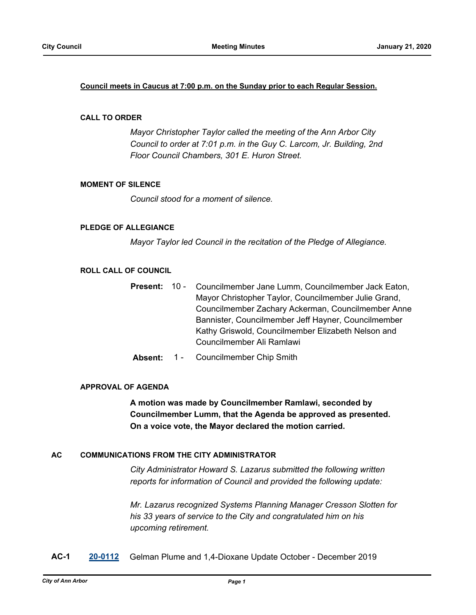#### **Council meets in Caucus at 7:00 p.m. on the Sunday prior to each Regular Session.**

#### **CALL TO ORDER**

*Mayor Christopher Taylor called the meeting of the Ann Arbor City Council to order at 7:01 p.m. in the Guy C. Larcom, Jr. Building, 2nd Floor Council Chambers, 301 E. Huron Street.*

#### **MOMENT OF SILENCE**

*Council stood for a moment of silence.*

#### **PLEDGE OF ALLEGIANCE**

*Mayor Taylor led Council in the recitation of the Pledge of Allegiance.*

#### **ROLL CALL OF COUNCIL**

- Councilmember Jane Lumm, Councilmember Jack Eaton, Mayor Christopher Taylor, Councilmember Julie Grand, Councilmember Zachary Ackerman, Councilmember Anne Bannister, Councilmember Jeff Hayner, Councilmember Kathy Griswold, Councilmember Elizabeth Nelson and Councilmember Ali Ramlawi **Present:** 10 -
- **Absent:** 1 Councilmember Chip Smith

#### **APPROVAL OF AGENDA**

**A motion was made by Councilmember Ramlawi, seconded by Councilmember Lumm, that the Agenda be approved as presented. On a voice vote, the Mayor declared the motion carried.**

#### **AC COMMUNICATIONS FROM THE CITY ADMINISTRATOR**

*City Administrator Howard S. Lazarus submitted the following written reports for information of Council and provided the following update:*

*Mr. Lazarus recognized Systems Planning Manager Cresson Slotten for his 33 years of service to the City and congratulated him on his upcoming retirement.*

**AC-1 [20-0112](http://a2gov.legistar.com/gateway.aspx?M=L&ID=24148)** Gelman Plume and 1,4-Dioxane Update October - December 2019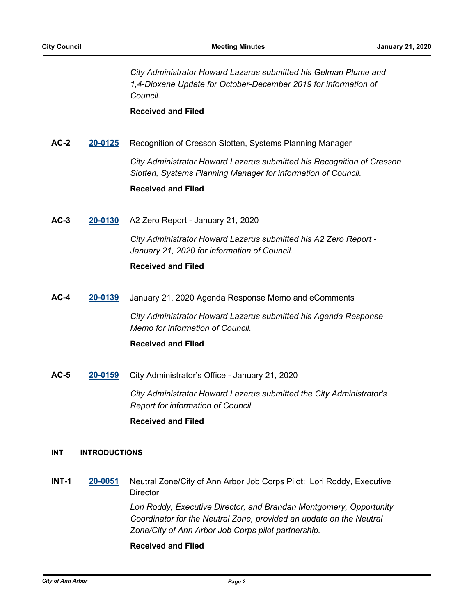*City Administrator Howard Lazarus submitted his Gelman Plume and 1,4-Dioxane Update for October-December 2019 for information of Council.*

**Received and Filed**

**AC-2 [20-0125](http://a2gov.legistar.com/gateway.aspx?M=L&ID=24161)** Recognition of Cresson Slotten, Systems Planning Manager

*City Administrator Howard Lazarus submitted his Recognition of Cresson Slotten, Systems Planning Manager for information of Council.*

#### **Received and Filed**

**AC-3 [20-0130](http://a2gov.legistar.com/gateway.aspx?M=L&ID=24166)** A2 Zero Report - January 21, 2020

*City Administrator Howard Lazarus submitted his A2 Zero Report - January 21, 2020 for information of Council.*

### **Received and Filed**

**AC-4 [20-0139](http://a2gov.legistar.com/gateway.aspx?M=L&ID=24175)** January 21, 2020 Agenda Response Memo and eComments

*City Administrator Howard Lazarus submitted his Agenda Response Memo for information of Council.*

### **Received and Filed**

**AC-5 [20-0159](http://a2gov.legistar.com/gateway.aspx?M=L&ID=24195)** City Administrator's Office - January 21, 2020

*City Administrator Howard Lazarus submitted the City Administrator's Report for information of Council.*

### **Received and Filed**

#### **INT INTRODUCTIONS**

**INT-1 [20-0051](http://a2gov.legistar.com/gateway.aspx?M=L&ID=24090)** Neutral Zone/City of Ann Arbor Job Corps Pilot: Lori Roddy, Executive **Director** 

> *Lori Roddy, Executive Director, and Brandan Montgomery, Opportunity Coordinator for the Neutral Zone, provided an update on the Neutral Zone/City of Ann Arbor Job Corps pilot partnership.*

### **Received and Filed**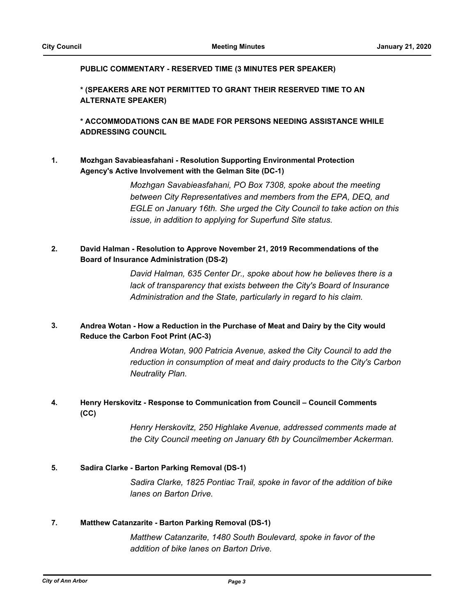#### **PUBLIC COMMENTARY - RESERVED TIME (3 MINUTES PER SPEAKER)**

**\* (SPEAKERS ARE NOT PERMITTED TO GRANT THEIR RESERVED TIME TO AN ALTERNATE SPEAKER)**

**\* ACCOMMODATIONS CAN BE MADE FOR PERSONS NEEDING ASSISTANCE WHILE ADDRESSING COUNCIL**

#### **Mozhgan Savabieasfahani - Resolution Supporting Environmental Protection Agency's Active Involvement with the Gelman Site (DC-1) 1.**

*Mozhgan Savabieasfahani, PO Box 7308, spoke about the meeting between City Representatives and members from the EPA, DEQ, and EGLE on January 16th. She urged the City Council to take action on this issue, in addition to applying for Superfund Site status.*

#### **David Halman - Resolution to Approve November 21, 2019 Recommendations of the Board of Insurance Administration (DS-2) 2.**

*David Halman, 635 Center Dr., spoke about how he believes there is a lack of transparency that exists between the City's Board of Insurance Administration and the State, particularly in regard to his claim.*

#### **Andrea Wotan - How a Reduction in the Purchase of Meat and Dairy by the City would Reduce the Carbon Foot Print (AC-3) 3.**

*Andrea Wotan, 900 Patricia Avenue, asked the City Council to add the reduction in consumption of meat and dairy products to the City's Carbon Neutrality Plan.*

#### **Henry Herskovitz - Response to Communication from Council – Council Comments (CC) 4.**

*Henry Herskovitz, 250 Highlake Avenue, addressed comments made at the City Council meeting on January 6th by Councilmember Ackerman.*

### **5. Sadira Clarke - Barton Parking Removal (DS-1)**

*Sadira Clarke, 1825 Pontiac Trail, spoke in favor of the addition of bike lanes on Barton Drive.*

### **7. Matthew Catanzarite - Barton Parking Removal (DS-1)**

*Matthew Catanzarite, 1480 South Boulevard, spoke in favor of the addition of bike lanes on Barton Drive.*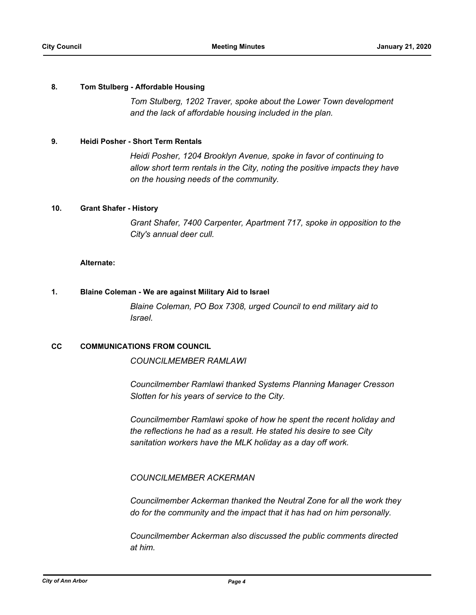#### **8. Tom Stulberg - Affordable Housing**

*Tom Stulberg, 1202 Traver, spoke about the Lower Town development and the lack of affordable housing included in the plan.*

#### **9. Heidi Posher - Short Term Rentals**

*Heidi Posher, 1204 Brooklyn Avenue, spoke in favor of continuing to allow short term rentals in the City, noting the positive impacts they have on the housing needs of the community.*

#### **10. Grant Shafer - History**

*Grant Shafer, 7400 Carpenter, Apartment 717, spoke in opposition to the City's annual deer cull.*

#### **Alternate:**

#### **1. Blaine Coleman - We are against Military Aid to Israel**

*Blaine Coleman, PO Box 7308, urged Council to end military aid to Israel.*

#### **CC COMMUNICATIONS FROM COUNCIL**

*COUNCILMEMBER RAMLAWI*

*Councilmember Ramlawi thanked Systems Planning Manager Cresson Slotten for his years of service to the City.* 

*Councilmember Ramlawi spoke of how he spent the recent holiday and the reflections he had as a result. He stated his desire to see City sanitation workers have the MLK holiday as a day off work.*

#### *COUNCILMEMBER ACKERMAN*

*Councilmember Ackerman thanked the Neutral Zone for all the work they do for the community and the impact that it has had on him personally.* 

*Councilmember Ackerman also discussed the public comments directed at him.*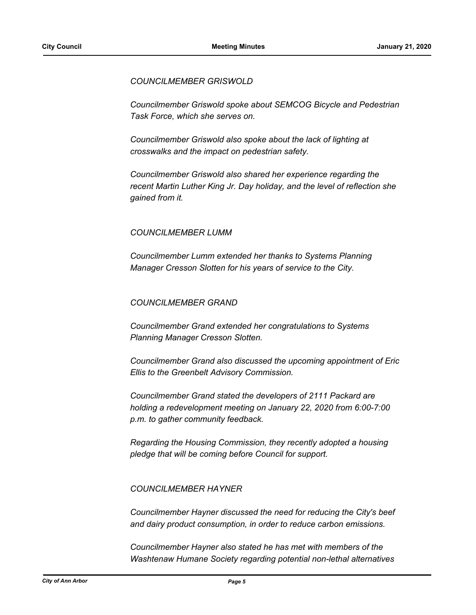#### *COUNCILMEMBER GRISWOLD*

*Councilmember Griswold spoke about SEMCOG Bicycle and Pedestrian Task Force, which she serves on.*

*Councilmember Griswold also spoke about the lack of lighting at crosswalks and the impact on pedestrian safety.* 

*Councilmember Griswold also shared her experience regarding the recent Martin Luther King Jr. Day holiday, and the level of reflection she gained from it.* 

### *COUNCILMEMBER LUMM*

*Councilmember Lumm extended her thanks to Systems Planning Manager Cresson Slotten for his years of service to the City.* 

#### *COUNCILMEMBER GRAND*

*Councilmember Grand extended her congratulations to Systems Planning Manager Cresson Slotten.* 

*Councilmember Grand also discussed the upcoming appointment of Eric Ellis to the Greenbelt Advisory Commission.* 

*Councilmember Grand stated the developers of 2111 Packard are holding a redevelopment meeting on January 22, 2020 from 6:00-7:00 p.m. to gather community feedback.* 

*Regarding the Housing Commission, they recently adopted a housing pledge that will be coming before Council for support.* 

### *COUNCILMEMBER HAYNER*

*Councilmember Hayner discussed the need for reducing the City's beef and dairy product consumption, in order to reduce carbon emissions.* 

*Councilmember Hayner also stated he has met with members of the Washtenaw Humane Society regarding potential non-lethal alternatives*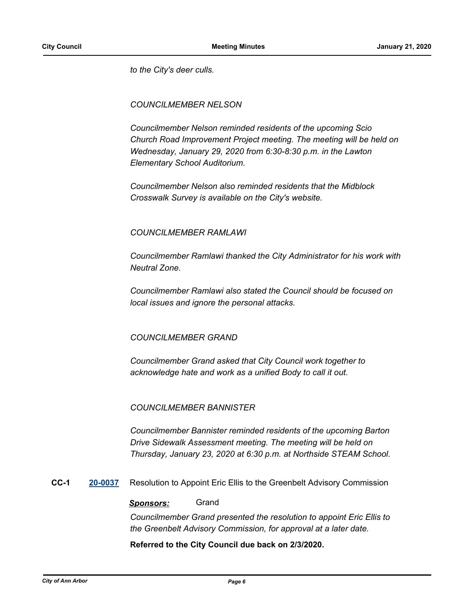*to the City's deer culls.* 

### *COUNCILMEMBER NELSON*

*Councilmember Nelson reminded residents of the upcoming Scio Church Road Improvement Project meeting. The meeting will be held on Wednesday, January 29, 2020 from 6:30-8:30 p.m. in the Lawton Elementary School Auditorium.*

*Councilmember Nelson also reminded residents that the Midblock Crosswalk Survey is available on the City's website.*

### *COUNCILMEMBER RAMLAWI*

*Councilmember Ramlawi thanked the City Administrator for his work with Neutral Zone.* 

*Councilmember Ramlawi also stated the Council should be focused on local issues and ignore the personal attacks.* 

### *COUNCILMEMBER GRAND*

*Councilmember Grand asked that City Council work together to acknowledge hate and work as a unified Body to call it out.* 

### *COUNCILMEMBER BANNISTER*

*Councilmember Bannister reminded residents of the upcoming Barton Drive Sidewalk Assessment meeting. The meeting will be held on Thursday, January 23, 2020 at 6:30 p.m. at Northside STEAM School.*

**CC-1 [20-0037](http://a2gov.legistar.com/gateway.aspx?M=L&ID=24076)** Resolution to Appoint Eric Ellis to the Greenbelt Advisory Commission

#### *Sponsors:* Grand

*Councilmember Grand presented the resolution to appoint Eric Ellis to the Greenbelt Advisory Commission, for approval at a later date.*

#### **Referred to the City Council due back on 2/3/2020.**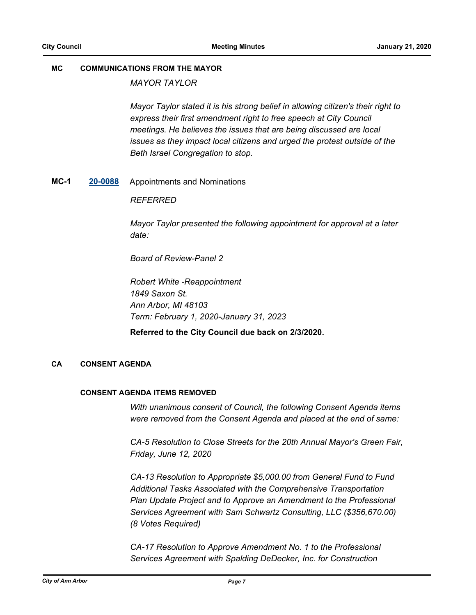#### **MC COMMUNICATIONS FROM THE MAYOR**

*MAYOR TAYLOR* 

*Mayor Taylor stated it is his strong belief in allowing citizen's their right to express their first amendment right to free speech at City Council meetings. He believes the issues that are being discussed are local issues as they impact local citizens and urged the protest outside of the Beth Israel Congregation to stop.*

**MC-1 [20-0088](http://a2gov.legistar.com/gateway.aspx?M=L&ID=24127)** Appointments and Nominations

#### *REFERRED*

*Mayor Taylor presented the following appointment for approval at a later date:*

*Board of Review-Panel 2*

*Robert White -Reappointment 1849 Saxon St. Ann Arbor, MI 48103 Term: February 1, 2020-January 31, 2023*

**Referred to the City Council due back on 2/3/2020.**

#### **CA CONSENT AGENDA**

#### **CONSENT AGENDA ITEMS REMOVED**

*With unanimous consent of Council, the following Consent Agenda items were removed from the Consent Agenda and placed at the end of same:*

*CA-5 Resolution to Close Streets for the 20th Annual Mayor's Green Fair, Friday, June 12, 2020*

*CA-13 Resolution to Appropriate \$5,000.00 from General Fund to Fund Additional Tasks Associated with the Comprehensive Transportation Plan Update Project and to Approve an Amendment to the Professional Services Agreement with Sam Schwartz Consulting, LLC (\$356,670.00) (8 Votes Required)*

*CA-17 Resolution to Approve Amendment No. 1 to the Professional Services Agreement with Spalding DeDecker, Inc. for Construction*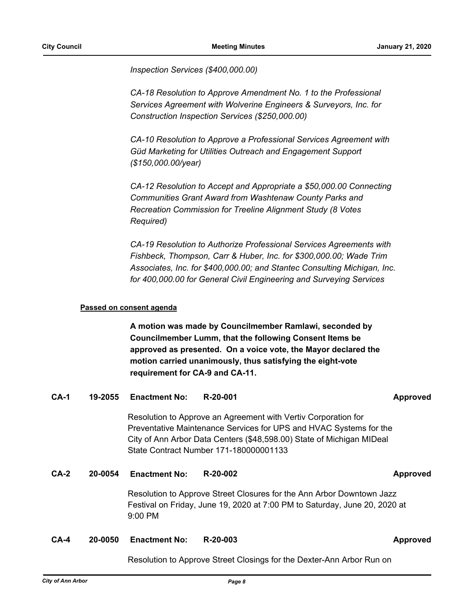*Inspection Services (\$400,000.00)*

*CA-18 Resolution to Approve Amendment No. 1 to the Professional Services Agreement with Wolverine Engineers & Surveyors, Inc. for Construction Inspection Services (\$250,000.00)*

*CA-10 Resolution to Approve a Professional Services Agreement with Güd Marketing for Utilities Outreach and Engagement Support (\$150,000.00/year)*

*CA-12 Resolution to Accept and Appropriate a \$50,000.00 Connecting Communities Grant Award from Washtenaw County Parks and Recreation Commission for Treeline Alignment Study (8 Votes Required)*

*CA-19 Resolution to Authorize Professional Services Agreements with Fishbeck, Thompson, Carr & Huber, Inc. for \$300,000.00; Wade Trim Associates, Inc. for \$400,000.00; and Stantec Consulting Michigan, Inc. for 400,000.00 for General Civil Engineering and Surveying Services*

#### **Passed on consent agenda**

**A motion was made by Councilmember Ramlawi, seconded by Councilmember Lumm, that the following Consent Items be approved as presented. On a voice vote, the Mayor declared the motion carried unanimously, thus satisfying the eight-vote requirement for CA-9 and CA-11.**

### **CA-1 19-2055 Enactment No: R-20-001 Approved**

Resolution to Approve an Agreement with Vertiv Corporation for Preventative Maintenance Services for UPS and HVAC Systems for the City of Ann Arbor Data Centers (\$48,598.00) State of Michigan MIDeal State Contract Number 171-180000001133

### **CA-2 20-0054 Enactment No: R-20-002 Approved**

Resolution to Approve Street Closures for the Ann Arbor Downtown Jazz Festival on Friday, June 19, 2020 at 7:00 PM to Saturday, June 20, 2020 at 9:00 PM

#### **CA-4 20-0050 Enactment No: R-20-003 Approved**

Resolution to Approve Street Closings for the Dexter-Ann Arbor Run on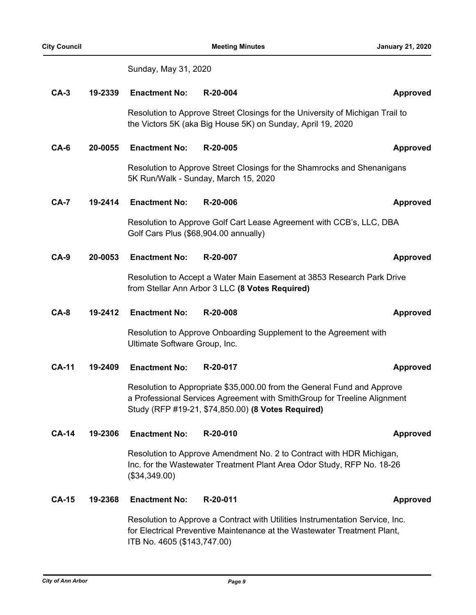Sunday, May 31, 2020

| $CA-3$       | 19-2339 | <b>Enactment No:</b>                                                                                                                                                                                      | R-20-004                                                                                                                  | <b>Approved</b> |
|--------------|---------|-----------------------------------------------------------------------------------------------------------------------------------------------------------------------------------------------------------|---------------------------------------------------------------------------------------------------------------------------|-----------------|
|              |         | Resolution to Approve Street Closings for the University of Michigan Trail to<br>the Victors 5K (aka Big House 5K) on Sunday, April 19, 2020                                                              |                                                                                                                           |                 |
| $CA-6$       | 20-0055 | <b>Enactment No:</b>                                                                                                                                                                                      | R-20-005                                                                                                                  | <b>Approved</b> |
|              |         | Resolution to Approve Street Closings for the Shamrocks and Shenanigans<br>5K Run/Walk - Sunday, March 15, 2020                                                                                           |                                                                                                                           |                 |
| $CA-7$       | 19-2414 | <b>Enactment No:</b>                                                                                                                                                                                      | R-20-006                                                                                                                  | <b>Approved</b> |
|              |         | Resolution to Approve Golf Cart Lease Agreement with CCB's, LLC, DBA<br>Golf Cars Plus (\$68,904.00 annually)                                                                                             |                                                                                                                           |                 |
| <b>CA-9</b>  | 20-0053 | <b>Enactment No:</b>                                                                                                                                                                                      | R-20-007                                                                                                                  | <b>Approved</b> |
|              |         |                                                                                                                                                                                                           | Resolution to Accept a Water Main Easement at 3853 Research Park Drive<br>from Stellar Ann Arbor 3 LLC (8 Votes Required) |                 |
| $CA-8$       | 19-2412 | <b>Enactment No:</b>                                                                                                                                                                                      | R-20-008                                                                                                                  | <b>Approved</b> |
|              |         | Resolution to Approve Onboarding Supplement to the Agreement with<br>Ultimate Software Group, Inc.                                                                                                        |                                                                                                                           |                 |
| <b>CA-11</b> | 19-2409 | <b>Enactment No:</b>                                                                                                                                                                                      | R-20-017                                                                                                                  | <b>Approved</b> |
|              |         | Resolution to Appropriate \$35,000.00 from the General Fund and Approve<br>a Professional Services Agreement with SmithGroup for Treeline Alignment<br>Study (RFP #19-21, \$74,850.00) (8 Votes Required) |                                                                                                                           |                 |
| CA-14        | 19-2306 | <b>Enactment No:</b>                                                                                                                                                                                      | R-20-010                                                                                                                  | <b>Approved</b> |
|              |         | Resolution to Approve Amendment No. 2 to Contract with HDR Michigan,<br>Inc. for the Wastewater Treatment Plant Area Odor Study, RFP No. 18-26<br>(\$34,349.00)                                           |                                                                                                                           |                 |
| <b>CA-15</b> | 19-2368 | <b>Enactment No:</b>                                                                                                                                                                                      | R-20-011                                                                                                                  | <b>Approved</b> |
|              |         | Resolution to Approve a Contract with Utilities Instrumentation Service, Inc.<br>for Electrical Preventive Maintenance at the Wastewater Treatment Plant,                                                 |                                                                                                                           |                 |

ITB No. 4605 (\$143,747.00)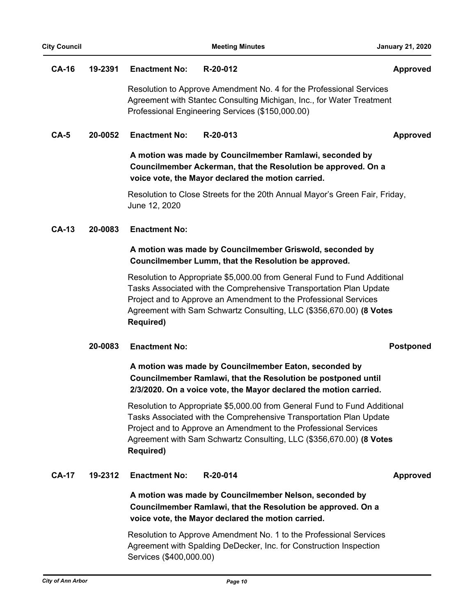#### **CA-16 19-2391 Enactment No: R-20-012 Approved**

Resolution to Approve Amendment No. 4 for the Professional Services Agreement with Stantec Consulting Michigan, Inc., for Water Treatment Professional Engineering Services (\$150,000.00)

### **CA-5 20-0052 Enactment No: R-20-013 Approved**

## **A motion was made by Councilmember Ramlawi, seconded by Councilmember Ackerman, that the Resolution be approved. On a voice vote, the Mayor declared the motion carried.**

Resolution to Close Streets for the 20th Annual Mayor's Green Fair, Friday, June 12, 2020

#### **CA-13 20-0083 Enactment No:**

### **A motion was made by Councilmember Griswold, seconded by Councilmember Lumm, that the Resolution be approved.**

Resolution to Appropriate \$5,000.00 from General Fund to Fund Additional Tasks Associated with the Comprehensive Transportation Plan Update Project and to Approve an Amendment to the Professional Services Agreement with Sam Schwartz Consulting, LLC (\$356,670.00) **(8 Votes Required)**

### **20-0083 Enactment No: Postponed**

**A motion was made by Councilmember Eaton, seconded by Councilmember Ramlawi, that the Resolution be postponed until 2/3/2020. On a voice vote, the Mayor declared the motion carried.**

Resolution to Appropriate \$5,000.00 from General Fund to Fund Additional Tasks Associated with the Comprehensive Transportation Plan Update Project and to Approve an Amendment to the Professional Services Agreement with Sam Schwartz Consulting, LLC (\$356,670.00) **(8 Votes Required)**

### **CA-17 19-2312 Enactment No: R-20-014 Approved**

**A motion was made by Councilmember Nelson, seconded by Councilmember Ramlawi, that the Resolution be approved. On a voice vote, the Mayor declared the motion carried.**

Resolution to Approve Amendment No. 1 to the Professional Services Agreement with Spalding DeDecker, Inc. for Construction Inspection Services (\$400,000.00)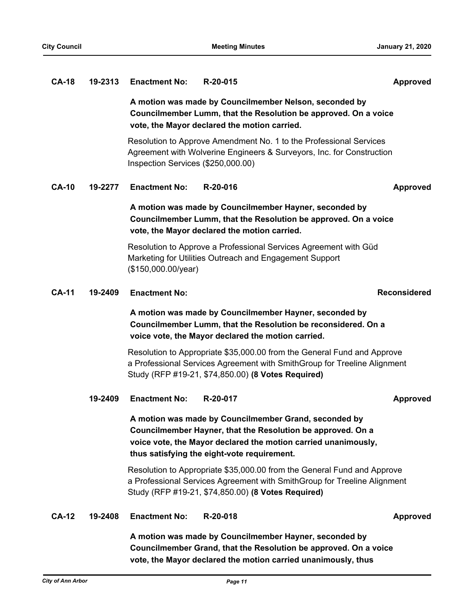#### **CA-18 19-2313 Enactment No: R-20-015 Approved**

**A motion was made by Councilmember Nelson, seconded by Councilmember Lumm, that the Resolution be approved. On a voice vote, the Mayor declared the motion carried.**

Resolution to Approve Amendment No. 1 to the Professional Services Agreement with Wolverine Engineers & Surveyors, Inc. for Construction Inspection Services (\$250,000.00)

**CA-10 19-2277 Enactment No: R-20-016 Approved**

## **A motion was made by Councilmember Hayner, seconded by Councilmember Lumm, that the Resolution be approved. On a voice vote, the Mayor declared the motion carried.**

Resolution to Approve a Professional Services Agreement with Güd Marketing for Utilities Outreach and Engagement Support (\$150,000.00/year)

### **CA-11 19-2409 Enactment No: Reconsidered**

## **A motion was made by Councilmember Hayner, seconded by Councilmember Lumm, that the Resolution be reconsidered. On a voice vote, the Mayor declared the motion carried.**

Resolution to Appropriate \$35,000.00 from the General Fund and Approve a Professional Services Agreement with SmithGroup for Treeline Alignment Study (RFP #19-21, \$74,850.00) **(8 Votes Required)**

#### **19-2409 Enactment No: R-20-017 Approved**

# **A motion was made by Councilmember Grand, seconded by Councilmember Hayner, that the Resolution be approved. On a voice vote, the Mayor declared the motion carried unanimously, thus satisfying the eight-vote requirement.**

Resolution to Appropriate \$35,000.00 from the General Fund and Approve a Professional Services Agreement with SmithGroup for Treeline Alignment Study (RFP #19-21, \$74,850.00) **(8 Votes Required)**

#### **CA-12 19-2408 Enactment No: R-20-018 Approved**

**A motion was made by Councilmember Hayner, seconded by Councilmember Grand, that the Resolution be approved. On a voice vote, the Mayor declared the motion carried unanimously, thus**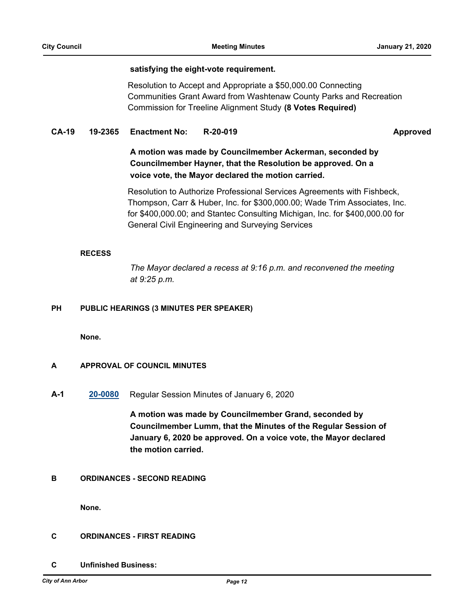#### **satisfying the eight-vote requirement.**

Resolution to Accept and Appropriate a \$50,000.00 Connecting Communities Grant Award from Washtenaw County Parks and Recreation Commission for Treeline Alignment Study **(8 Votes Required)**

#### **CA-19 19-2365 Enactment No: R-20-019 Approved**

## **A motion was made by Councilmember Ackerman, seconded by Councilmember Hayner, that the Resolution be approved. On a voice vote, the Mayor declared the motion carried.**

Resolution to Authorize Professional Services Agreements with Fishbeck, Thompson, Carr & Huber, Inc. for \$300,000.00; Wade Trim Associates, Inc. for \$400,000.00; and Stantec Consulting Michigan, Inc. for \$400,000.00 for General Civil Engineering and Surveying Services

#### **RECESS**

*The Mayor declared a recess at 9:16 p.m. and reconvened the meeting at 9:25 p.m.*

#### **PH PUBLIC HEARINGS (3 MINUTES PER SPEAKER)**

**None.**

### **A APPROVAL OF COUNCIL MINUTES**

**A-1 [20-0080](http://a2gov.legistar.com/gateway.aspx?M=L&ID=24119)** Regular Session Minutes of January 6, 2020

**A motion was made by Councilmember Grand, seconded by Councilmember Lumm, that the Minutes of the Regular Session of January 6, 2020 be approved. On a voice vote, the Mayor declared the motion carried.**

### **B ORDINANCES - SECOND READING**

**None.**

#### **C ORDINANCES - FIRST READING**

**C Unfinished Business:**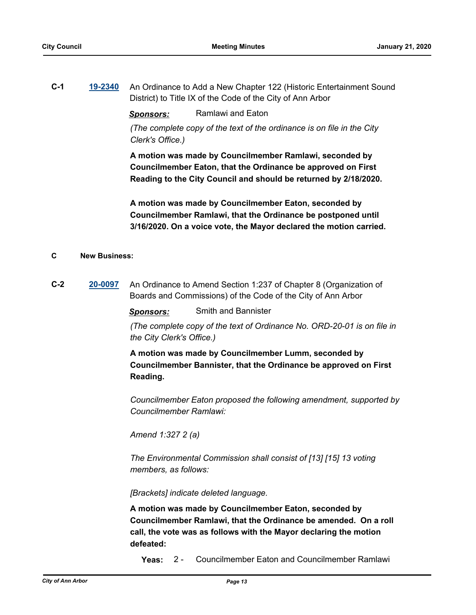**C-1 [19-2340](http://a2gov.legistar.com/gateway.aspx?M=L&ID=23960)** An Ordinance to Add a New Chapter 122 (Historic Entertainment Sound District) to Title IX of the Code of the City of Ann Arbor

*Sponsors:* Ramlawi and Eaton

*(The complete copy of the text of the ordinance is on file in the City Clerk's Office.)*

**A motion was made by Councilmember Ramlawi, seconded by Councilmember Eaton, that the Ordinance be approved on First Reading to the City Council and should be returned by 2/18/2020.**

**A motion was made by Councilmember Eaton, seconded by Councilmember Ramlawi, that the Ordinance be postponed until 3/16/2020. On a voice vote, the Mayor declared the motion carried.**

#### **C New Business:**

**C-2 [20-0097](http://a2gov.legistar.com/gateway.aspx?M=L&ID=24136)** An Ordinance to Amend Section 1:237 of Chapter 8 (Organization of Boards and Commissions) of the Code of the City of Ann Arbor

*Sponsors:* Smith and Bannister

*(The complete copy of the text of Ordinance No. ORD-20-01 is on file in the City Clerk's Office.)*

**A motion was made by Councilmember Lumm, seconded by Councilmember Bannister, that the Ordinance be approved on First Reading.**

*Councilmember Eaton proposed the following amendment, supported by Councilmember Ramlawi:*

*Amend 1:327 2 (a)* 

*The Environmental Commission shall consist of [13] [15] 13 voting members, as follows:*

*[Brackets] indicate deleted language.*

**A motion was made by Councilmember Eaton, seconded by Councilmember Ramlawi, that the Ordinance be amended. On a roll call, the vote was as follows with the Mayor declaring the motion defeated:**

**Yeas:** 2 - Councilmember Eaton and Councilmember Ramlawi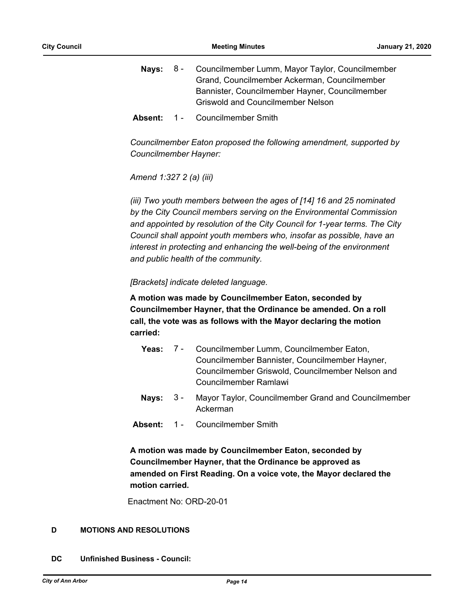- **Nays:** 8 Councilmember Lumm, Mayor Taylor, Councilmember Grand, Councilmember Ackerman, Councilmember Bannister, Councilmember Hayner, Councilmember Griswold and Councilmember Nelson 8 -
- Absent: 1 Councilmember Smith

*Councilmember Eaton proposed the following amendment, supported by Councilmember Hayner:*

*Amend 1:327 2 (a) (iii)*

*(iii) Two youth members between the ages of [14] 16 and 25 nominated by the City Council members serving on the Environmental Commission and appointed by resolution of the City Council for 1-year terms. The City Council shall appoint youth members who, insofar as possible, have an interest in protecting and enhancing the well-being of the environment and public health of the community.*

*[Brackets] indicate deleted language.*

**A motion was made by Councilmember Eaton, seconded by Councilmember Hayner, that the Ordinance be amended. On a roll call, the vote was as follows with the Mayor declaring the motion carried:**

- Yeas: 7 Councilmember Lumm, Councilmember Eaton, Councilmember Bannister, Councilmember Hayner, Councilmember Griswold, Councilmember Nelson and Councilmember Ramlawi 7 -
- **Nays:** 3 Mayor Taylor, Councilmember Grand and Councilmember Ackerman  $3 -$
- **Absent:** 1 Councilmember Smith

**A motion was made by Councilmember Eaton, seconded by Councilmember Hayner, that the Ordinance be approved as amended on First Reading. On a voice vote, the Mayor declared the motion carried.**

Enactment No: ORD-20-01

### **D MOTIONS AND RESOLUTIONS**

**DC Unfinished Business - Council:**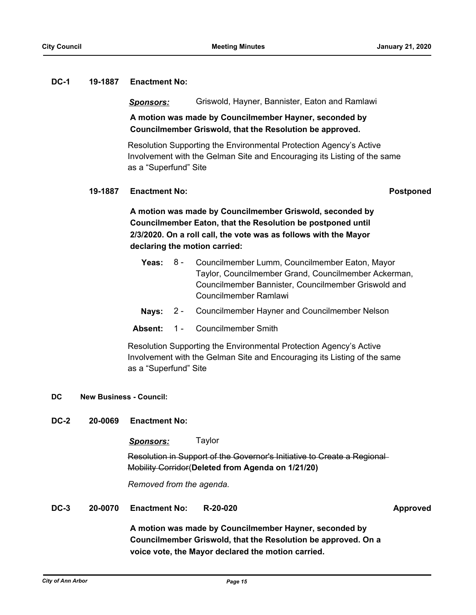#### **DC-1 19-1887 Enactment No:**

#### *Sponsors:* Griswold, Hayner, Bannister, Eaton and Ramlawi

### **A motion was made by Councilmember Hayner, seconded by Councilmember Griswold, that the Resolution be approved.**

Resolution Supporting the Environmental Protection Agency's Active Involvement with the Gelman Site and Encouraging its Listing of the same as a "Superfund" Site

#### **19-1887 Enactment No: Postponed**

**A motion was made by Councilmember Griswold, seconded by Councilmember Eaton, that the Resolution be postponed until 2/3/2020. On a roll call, the vote was as follows with the Mayor declaring the motion carried:**

- **Yeas:** Councilmember Lumm, Councilmember Eaton, Mayor Taylor, Councilmember Grand, Councilmember Ackerman, Councilmember Bannister, Councilmember Griswold and Councilmember Ramlawi Yeas:  $8 -$
- **Nays:** 2 Councilmember Hayner and Councilmember Nelson
- **Absent:** 1 Councilmember Smith

Resolution Supporting the Environmental Protection Agency's Active Involvement with the Gelman Site and Encouraging its Listing of the same as a "Superfund" Site

### **DC New Business - Council:**

**DC-2 20-0069 Enactment No:** 

*Sponsors:* Taylor

Resolution in Support of the Governor's Initiative to Create a Regional Mobility Corridor(**Deleted from Agenda on 1/21/20)**

*Removed from the agenda.*

**DC-3 20-0070 Enactment No: R-20-020 Approved**

**A motion was made by Councilmember Hayner, seconded by Councilmember Griswold, that the Resolution be approved. On a voice vote, the Mayor declared the motion carried.**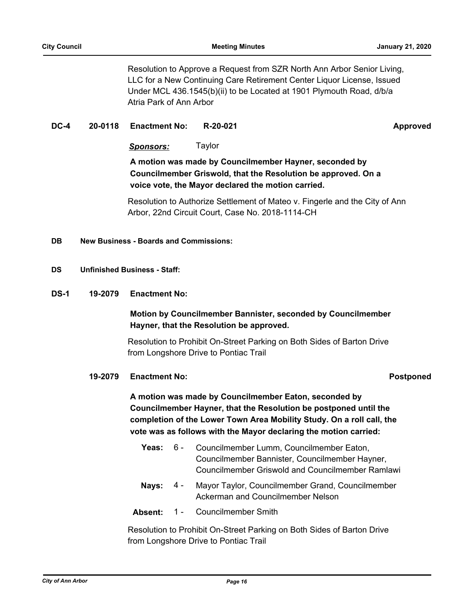Resolution to Approve a Request from SZR North Ann Arbor Senior Living, LLC for a New Continuing Care Retirement Center Liquor License, Issued Under MCL 436.1545(b)(ii) to be Located at 1901 Plymouth Road, d/b/a Atria Park of Ann Arbor

#### **DC-4 20-0118 Enactment No: R-20-021 Approved**

*Sponsors:* Taylor

**A motion was made by Councilmember Hayner, seconded by Councilmember Griswold, that the Resolution be approved. On a voice vote, the Mayor declared the motion carried.**

Resolution to Authorize Settlement of Mateo v. Fingerle and the City of Ann Arbor, 22nd Circuit Court, Case No. 2018-1114-CH

**DB New Business - Boards and Commissions:**

#### **DS Unfinished Business - Staff:**

**DS-1 19-2079 Enactment No:** 

### **Motion by Councilmember Bannister, seconded by Councilmember Hayner, that the Resolution be approved.**

Resolution to Prohibit On-Street Parking on Both Sides of Barton Drive from Longshore Drive to Pontiac Trail

#### **19-2079 Enactment No: Postponed**

**A motion was made by Councilmember Eaton, seconded by Councilmember Hayner, that the Resolution be postponed until the completion of the Lower Town Area Mobility Study. On a roll call, the vote was as follows with the Mayor declaring the motion carried:**

- Yeas: 6 Councilmember Lumm, Councilmember Eaton, Councilmember Bannister, Councilmember Hayner, Councilmember Griswold and Councilmember Ramlawi  $6 -$
- Nays: 4 Mayor Taylor, Councilmember Grand, Councilmember Ackerman and Councilmember Nelson 4 -
- **Absent:** 1 Councilmember Smith

Resolution to Prohibit On-Street Parking on Both Sides of Barton Drive from Longshore Drive to Pontiac Trail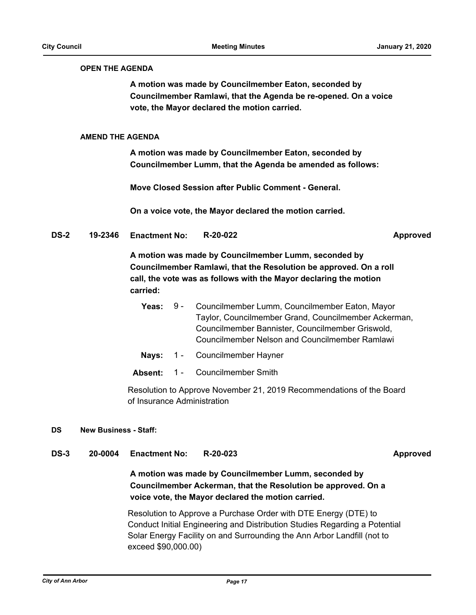#### **OPEN THE AGENDA**

**A motion was made by Councilmember Eaton, seconded by Councilmember Ramlawi, that the Agenda be re-opened. On a voice vote, the Mayor declared the motion carried.**

#### **AMEND THE AGENDA**

**A motion was made by Councilmember Eaton, seconded by Councilmember Lumm, that the Agenda be amended as follows:**

**Move Closed Session after Public Comment - General.**

**On a voice vote, the Mayor declared the motion carried.**

**DS-2 19-2346 Enactment No: R-20-022 Approved**

**A motion was made by Councilmember Lumm, seconded by Councilmember Ramlawi, that the Resolution be approved. On a roll call, the vote was as follows with the Mayor declaring the motion carried:**

- Yeas: 9 Councilmember Lumm, Councilmember Eaton, Mayor Taylor, Councilmember Grand, Councilmember Ackerman, Councilmember Bannister, Councilmember Griswold, Councilmember Nelson and Councilmember Ramlawi  $9 -$
- **Nays:** 1 Councilmember Hayner
- **Absent:** 1 Councilmember Smith

Resolution to Approve November 21, 2019 Recommendations of the Board of Insurance Administration

#### **DS New Business - Staff:**

**DS-3 20-0004 Enactment No: R-20-023 Approved**

**A motion was made by Councilmember Lumm, seconded by Councilmember Ackerman, that the Resolution be approved. On a voice vote, the Mayor declared the motion carried.**

Resolution to Approve a Purchase Order with DTE Energy (DTE) to Conduct Initial Engineering and Distribution Studies Regarding a Potential Solar Energy Facility on and Surrounding the Ann Arbor Landfill (not to exceed \$90,000.00)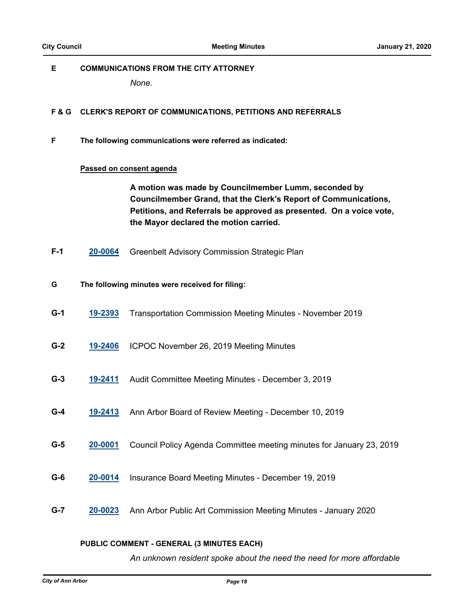#### **E COMMUNICATIONS FROM THE CITY ATTORNEY**

*None.*

#### **F & G CLERK'S REPORT OF COMMUNICATIONS, PETITIONS AND REFERRALS**

**F The following communications were referred as indicated:**

#### **Passed on consent agenda**

**A motion was made by Councilmember Lumm, seconded by Councilmember Grand, that the Clerk's Report of Communications, Petitions, and Referrals be approved as presented. On a voice vote, the Mayor declared the motion carried.**

- **F-1 [20-0064](http://a2gov.legistar.com/gateway.aspx?M=L&ID=24103)** Greenbelt Advisory Commission Strategic Plan
- **G The following minutes were received for filing:**
- **G-1 [19-2393](http://a2gov.legistar.com/gateway.aspx?M=L&ID=24013)** Transportation Commission Meeting Minutes November 2019
- **G-2 [19-2406](http://a2gov.legistar.com/gateway.aspx?M=L&ID=24026)** ICPOC November 26, 2019 Meeting Minutes
- **G-3 [19-2411](http://a2gov.legistar.com/gateway.aspx?M=L&ID=24031)** Audit Committee Meeting Minutes December 3, 2019
- **G-4 [19-2413](http://a2gov.legistar.com/gateway.aspx?M=L&ID=24033)** Ann Arbor Board of Review Meeting December 10, 2019
- **G-5 [20-0001](http://a2gov.legistar.com/gateway.aspx?M=L&ID=24040)** Council Policy Agenda Committee meeting minutes for January 23, 2019
- **G-6 [20-0014](http://a2gov.legistar.com/gateway.aspx?M=L&ID=24053)** Insurance Board Meeting Minutes December 19, 2019
- **G-7 [20-0023](http://a2gov.legistar.com/gateway.aspx?M=L&ID=24062)** Ann Arbor Public Art Commission Meeting Minutes January 2020

#### **PUBLIC COMMENT - GENERAL (3 MINUTES EACH)**

*An unknown resident spoke about the need the need for more affordable*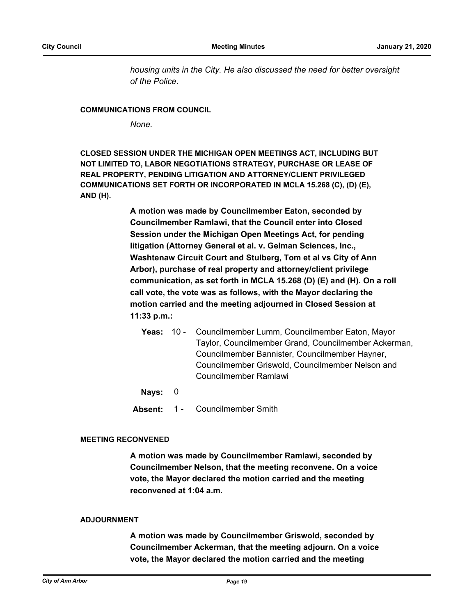*housing units in the City. He also discussed the need for better oversight of the Police.*

#### **COMMUNICATIONS FROM COUNCIL**

*None.*

**CLOSED SESSION UNDER THE MICHIGAN OPEN MEETINGS ACT, INCLUDING BUT NOT LIMITED TO, LABOR NEGOTIATIONS STRATEGY, PURCHASE OR LEASE OF REAL PROPERTY, PENDING LITIGATION AND ATTORNEY/CLIENT PRIVILEGED COMMUNICATIONS SET FORTH OR INCORPORATED IN MCLA 15.268 (C), (D) (E), AND (H).**

> **A motion was made by Councilmember Eaton, seconded by Councilmember Ramlawi, that the Council enter into Closed Session under the Michigan Open Meetings Act, for pending litigation (Attorney General et al. v. Gelman Sciences, Inc., Washtenaw Circuit Court and Stulberg, Tom et al vs City of Ann Arbor), purchase of real property and attorney/client privilege communication, as set forth in MCLA 15.268 (D) (E) and (H). On a roll call vote, the vote was as follows, with the Mayor declaring the motion carried and the meeting adjourned in Closed Session at 11:33 p.m.:**

**Yeas:** Councilmember Lumm, Councilmember Eaton, Mayor Taylor, Councilmember Grand, Councilmember Ackerman, Councilmember Bannister, Councilmember Hayner, Councilmember Griswold, Councilmember Nelson and Councilmember Ramlawi Yeas:  $10 -$ 

**Nays:** 0

**Absent:** 1 - Councilmember Smith

#### **MEETING RECONVENED**

**A motion was made by Councilmember Ramlawi, seconded by Councilmember Nelson, that the meeting reconvene. On a voice vote, the Mayor declared the motion carried and the meeting reconvened at 1:04 a.m.**

#### **ADJOURNMENT**

**A motion was made by Councilmember Griswold, seconded by Councilmember Ackerman, that the meeting adjourn. On a voice vote, the Mayor declared the motion carried and the meeting**